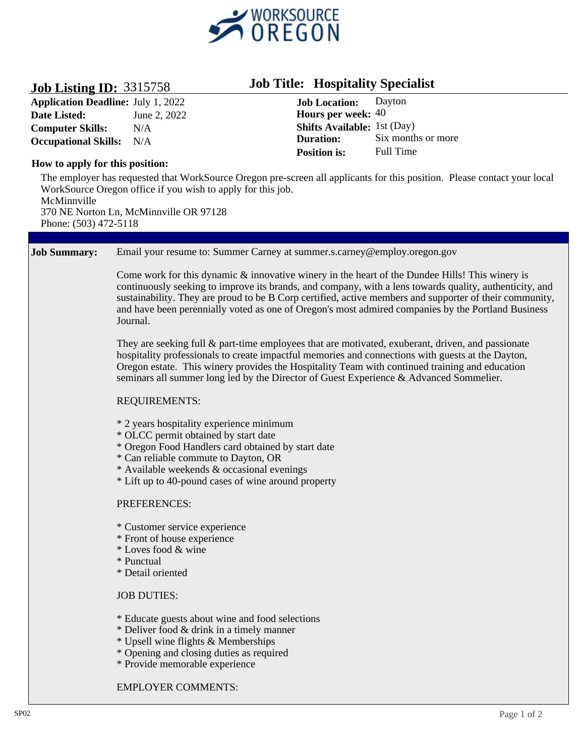

## **Job Listing ID:** 3315758

**Application Deadline: Date Listed: Computer Skills: Occupational Skills:** N/A June 2, 2022 N/A

# **Job Title: Hospitality Specialist**

**Hours per week:** 40 **Shifts Available:**  1st (Day) **Job Location:** Dayton **Duration:** Six months or more **Position is:** Full Time

## **How to apply for this position:**

The employer has requested that WorkSource Oregon pre-screen all applicants for this position. Please contact your local WorkSource Oregon office if you wish to apply for this job. McMinnville 370 NE Norton Ln, McMinnville OR 97128 Phone: (503) 472-5118

#### **Job Summary:** Email your resume to: Summer Carney at summer.s.carney@employ.oregon.gov

Come work for this dynamic  $\&$  innovative winery in the heart of the Dundee Hills! This winery is continuously seeking to improve its brands, and company, with a lens towards quality, authenticity, and sustainability. They are proud to be B Corp certified, active members and supporter of their community, and have been perennially voted as one of Oregon's most admired companies by the Portland Business Journal.

They are seeking full & part-time employees that are motivated, exuberant, driven, and passionate hospitality professionals to create impactful memories and connections with guests at the Dayton, Oregon estate. This winery provides the Hospitality Team with continued training and education seminars all summer long led by the Director of Guest Experience & Advanced Sommelier.

### REQUIREMENTS:

- \* 2 years hospitality experience minimum
- \* OLCC permit obtained by start date
- \* Oregon Food Handlers card obtained by start date
- \* Can reliable commute to Dayton, OR
- \* Available weekends & occasional evenings
- \* Lift up to 40-pound cases of wine around property

### PREFERENCES:

- \* Customer service experience
- \* Front of house experience
- \* Loves food & wine
- \* Punctual
- \* Detail oriented

### JOB DUTIES:

- \* Educate guests about wine and food selections
- \* Deliver food & drink in a timely manner
- \* Upsell wine flights & Memberships
- \* Opening and closing duties as required
- \* Provide memorable experience

### EMPLOYER COMMENTS: